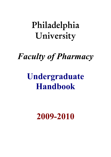# **Philadelphia University**

# *Faculty of Pharmacy*

# **Undergraduate Handbook**

**2009-2010**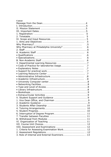| Content              |    |
|----------------------|----|
|                      | -4 |
|                      |    |
|                      |    |
|                      |    |
|                      |    |
|                      | 5  |
|                      |    |
|                      | .5 |
|                      | .5 |
|                      |    |
|                      |    |
|                      | .6 |
|                      | .6 |
|                      | .6 |
|                      |    |
|                      |    |
|                      |    |
|                      |    |
|                      | .7 |
|                      |    |
|                      |    |
|                      |    |
|                      |    |
|                      |    |
|                      |    |
|                      |    |
|                      |    |
|                      |    |
|                      |    |
|                      |    |
| 2. Academic Guidance | q  |
|                      |    |
|                      |    |
|                      |    |
|                      |    |
|                      |    |
|                      |    |
|                      |    |
|                      |    |
|                      |    |
|                      |    |
|                      |    |
|                      |    |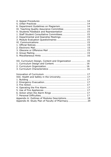| XII. Curriculum Design, Content and Organization  16 |  |
|------------------------------------------------------|--|
|                                                      |  |
|                                                      |  |
|                                                      |  |
|                                                      |  |
|                                                      |  |
|                                                      |  |
|                                                      |  |
|                                                      |  |
|                                                      |  |
|                                                      |  |
|                                                      |  |
|                                                      |  |
|                                                      |  |
| Appendix B: Study Plan of Faculty of Pharmacy 29     |  |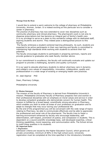#### **Message from the Dean**

I would like to extend a warm welcome to the college of pharmacy at Philadelphia University, Amman, Jordan. It is indeed exciting at this particular era to consider a career in pharmacy.

The practice of pharmacy has now extended to cover new disciplines such as community pharmacy and clinical pharmacy. The pharmacist's work is not only to dispense prescriptions but has become an integral part of family's health care. It is my privilege to serve as a dean to this wonderful college with its dedicated staff, aspiring students and alumni. They indeed pose a distinguished picture to this faculty.

 The faculty embraces a student-centered learning philosophy. As such, students are expected to be active participants in their own learning and faculty is committed to maintaining high standards while working with students to achieve their full potential.

The faculty encourages students to participate in preparing seminars, reports and provide guidance to graduates who seek faculty member advice.

In our commitment to excellence, the faculty will continually evaluate and update our program to provide a challenging, dynamic and quality curriculum.

It is our goal to educate pharmacy students to deliver pharmacy care in dynamic, and college's core values of responsibility, innovation, collaboration, quality and professionalism in a wide range of existing or emerging health care practices.

Dr. Jalal Aljamal PhD

Dean, Pharmacy College,

Philadelphia University

#### **II. Mission Statement**

The mission of the faculty of Pharmacy is derived from Philadelphia University's mission. Philadelphia University Faculty of Pharmacy prepares men and women in their professional disciplines with an emphasis on moral values and service in order to develop competent graduates who demonstrate concern for human health. This mission is fulfilled by a broad based, scientifically strong education in Pharmacy, which enables you both to enter all areas of your profession on graduation and to adapt to changes that may occur during your professional life.

By the end of the programmed you will be conversant with the wide range of topics relating to Pharmacy, be able to communicate effectively and be able to appreciate the professional and social role of the pharmacist. The faculty tries to foster a learning environment enhanced by faculty who encourage leadership, selfdetermination, self-respect, promotion of justice, and compassion in students. This is dependent on a sound scientific knowledge base, well developed expertise, critical thinking capabilities, moral reasoning, and communication skills. The School strives to instill these qualities in its students.

#### **III. Important Dates**

#### *1. Registration:*

Admission criteria are issued by the Higher Education Council, which governs all private universities; minimum of 80% in the high school score. University registration must be completed at the time specified in the introductory timetable.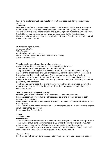Returning students must also register in the times specified during introductory week.

### *2. Timetable*

Lectures timetable is published separately from this book. Whilst every attempt is made to timetable reasonable combinations of course units (modules), various constraints make some combinations and outside options impossible. If you have a timetable problem, please consult your personal tutor in the first instance. However, following the academic consultation with your Faculty advisor will limit all these constrains, if at all.

#### **IV. Scope and Input Resources**

*1. Aims and Objectives*  **Why Pharmacy?**  A satisfying and varied career Many different career paths with flexibility to change A competitive salary

The chance to use a broad knowledge of science A choice of working environments and geographical locations The opportunity to meet people from all walks of life

The pharmacist is an expert in medicines. A pharmacist can be involved in any aspect of the preparation and use of medicines, from the discovery of their active ingredients to their use by patients. Pharmacists also monitor the effects of medicines, both for patient care and for research purposes. So a pharmacist has many career options, including community pharmacy, hospital pharmacy, industrial pharmacy, and academia.

The broad scientific base that a pharmacy degree offers also provides many other opportunities e.g. medical writing, journalism, food industry, cosmetic industry, consulting roles.......

### **Why Pharmacy at Philadelphia University?**

Overall, your experience with us in Pharmacy will provide you with:

Excellent teaching by academic staff regarded as of the highest caliber in both research and teaching.

Unsurpassed professional and career prospects. Access to a vibrant social life in this exciting area.

Access to the surrounding countryside. Our undergraduate B.Sc. of Pharmacy degree is fully accredited by Jordan

Pharmaceutical Association.

### **2. Staff**

- *A. Academic Staff*
- **Qualifications**

The academic staff members are divided into two categories: full-time and part time. The number of full-time staff members is 18, while the number of part-time staff depends upon the number of students and the needs of the Department. The academic staff members, who are between 27 and 70 years of age, have been referred on the basis of excellent experience and achievements.

### **• Specializations**

Full-time as well as part-time teaching staff members have various specializations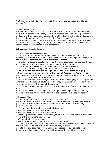that can be divided into two categories (Pharmaceutical Sciences, and Clinical Sciences).

# *B. Non-Academic Staff*

Besides the academic staff, the Department has 12 other full-time members who hold a B.Sc. degree in Pharmacy. This staff member has good working experience and some of them have been appointed from Philadelphia University graduates who hold bachelor degrees with Grade "Excellent" or "Very Good".

All of the non-academic staff members are qualified as laboratory tutors and assist lecturers in the laboratory hours. In addition, some of them are responsible for maintenance of instruments in the laboratories.

### **3. Departmental Learning Resources**

# *• Code of Practice for laboratories Usage*

At registration, you will be required to assent to the following faculty code of behavior, which relates to the responsible use of laboratory equipments. Misuse of the facilities is regarded as serious disciplinary offences.

This code of practice is supplementary to University regulations concerning the use of equipment to which you are required to assent at Registration.

1. Every student is allocated one bench in every laboratory session.

2. You must not deliberately hinder or annoy other bench users.

3. You must not use machines belonging to the faculty for commercial purposes without the prior written permission of the Head of Department. You must not sell the results of any work you do using Departmental facilities without the prior written permission of the Head of Department.

4. You must not write or knowingly store, on machines belonging to the Department, software that, if executed, could hinder or annoy other users, except with the prior written permission of the Head of Department.

5. You must not make an unauthorized copy, in any form, of copyright software or data.

6. You must follow all rules, regulations and guidelines imposed by the Faculty of Pharmacy and the University in addition to the Department's Code of Practice.

### *• Explanatory Notes*

The following notes indicate ways in which the Code of Practice applies to Undergraduates for use of laboratories. It is not intended to be a complete list of possible abuses of the instruments. Each note refers to the corresponding paragraph above.

1. This will be interpreted very broadly. It includes

• Tampering with another user's data.

• Tampering with another user's procedure.

• Setting up products which persist after you go out of lab. and annoy subsequent users of the instrument/equipments.

• Writing of offensive messages.

• Abuse of the e-mail system or the university web forum.

2. Clearly, the Head of Department would have to be convinced that any such use of the materials would not conflict with their primary purpose.

3. Note that this does not prevent your taking copies of your laboratory work home, or making copies of non-copyright material. If in doubt, please ask.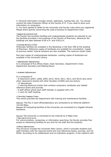4. Personal information includes names, addresses, mailing lists, etc. You should contact the Data Protection Officer at the Faculty of IT, if you need to store such information on computers.

5. You have agreed to abide by the University and Faculty rules when you registered. Please direct queries concerning the code of practice to Department Chair.

#### *• Support for practical work*

The Faculty has excellent facilities and undergraduate students are allowed to use the facilities provided in the buildings of the Faculty of Pharmacy. Whenever the buildings are open between 8.00 a.m. and 4.00 p.m.

#### *• Learning Resource Center*

Photocopy facilities are available in the Bookshop in the floor 400 at the building of Pharmacy. Reference copies of textbooks are available for consultation. Copies of previous weeks' tutorial solutions are also available. The resource center holds

Non-loan copies of undergraduate textbooks. Lending copies of textbooks are available in the University Library.

#### *• Administrative Infrastructure*

It is composed of five offices (Dean, Dean Secretary, Department's Chair, Department Secretary and Meeting Room

# *• Academic Infrastructure*

#### It is composed of

- 8 classrooms (p507, p508, p509, p514, 5610, 5611, 5613, and 5614) plus some other classrooms shared with other faculties (21009) and one lecture.

- 15 laboratories.

- 1 Learning Resource Center that contains computers, textbooks and related reference books and journals.

- 9 staff offices where each staff member is supplied with a PC.

- 1 room for staff meeting.

### *• University Computer Centre*

This centre provides the Department with training and maintenance facilities.

*Ethernet:* The PCs in each office/laboratory are connected to an Ethernet platform 10/100 Mbps.

*Intranet:* All computing facilities of the University are connected to a Gigabit Intranet backbone.

### *Internet:* The University is connected to the Internet by 6 Mbps lines.

### *• Type and Level of Access*

For communication, computing, or information searching, the faculty provides free access to networking facilities at any time for the staff and the students.

#### *• Library Infrastructure*

This structure includes the University Main Library, which it provides students and staff members with the required recent text and references books, journals, and CD ROMs. According to its collaboration and co-ordination program, it has relations with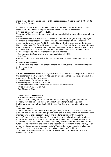more than 120 universities and scientific organisations. It opens from 8.00 a.m. to 7.00 p.m. It includes:

- *Conventional Library***,** which contains books and journals. The books room contains more than 1000 different English titles in pharmacy, where more than 50% are edited in years 2005 - 2010.

The room of journals contains 10 computing journals that are useful for research and teaching.

- *Electronic Library***,** which contains CD ROMs for the taught programming languages and module support tools. It is connected to approximately 500 universities electronic libraries via the World University Library that is endorsed by the United Nation University. The World University Library has four databases that contain more than 3300 periodicals available online. The online resources in the electronic library include sites that list more than 40000 online books and access to online libraries and encyclopedias and other databases on the Internet.

- *Internet Access Service,* available in a room containing 10 PCs.

*• Bookshops* 

Contain books, exercises with solutions, solutions to previous examinations and so on.

*• Extracurricular Activities* 

The University provides some entertainment for the students to enrich their talents in their free time.

This includes

- **A Deanship of Student Affairs** that organizes the social, cultural, and sport activities for the students in the University. It has also an alumnae office that keeps track of the graduate's information and news.

- Several spaces for different sports.
- Several spaces for cultural activities.
- Several common rooms for meetings, snacks, and cafeterias.
- Three Internet cafes with PCs.
- One Students Club.

### **V. Student Support and Guidance**

# *1. vice Dean Office and Chairman*

The Vice Dean Office, and the Chairman offices is mainly for general students advisory services. It deals also with all routine undergraduate enquiries. Problems, which cannot be dealt with by the Vice Dean, will be referred to the Dean.

#### *2. Academic Guidance*

All new students should have academic (personal) advisors. The new students are grouped into 30-35 students groups and each group is assigned to an academic staff member who is their academic tutor. The students remain with the same adviser/tutor till their graduation. The tutor deals with all routine undergraduate inquiries, advises for academic registration at the beginning of each semester, and any other raised problems. However, problems, which cannot be dealt with by the tutor, will be referred to the head of the Department, the Dean of the Faculty, or to an appropriate member of academic staff. The academic guidance is available on specified dates in the terms, and any advisory service offered by the Vice Dean or the department chairman is available daily to all students in the relevant Department.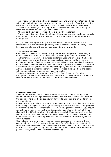The advisory service offers advice on departmental and University matters and helps with anything that concerns you, whether in your studies, in the Department, in the University or in your life outside the university. Each of the staff in these offices is available with knowledge of the Department and University and who is willing to listen and help with whatever you bring. Note that

• All visits to the advisory service offices are strictly confidential.

• If you have difficulties with material on particular course units you should normally first approach your tutors. You may also consult your tutors on matters that are more general.

• If you have health problems, you are welcome to consult an advisor in the Department but may prefer to go directly to your doctor or to the University Clinic. Feel free to make use of these services at any time on any matter.

#### *3. Students Affair Deanship*

Confidential, individual counseling on any matter affecting personal well-being or effectiveness is available at the Philadelphia University Students Affair Deanship. The Deanship sees well over a hundred students a year and gives expert advice on problems such as low motivation, personal decision making, relationships, and anxiety and family difficulties. People there, are willing to help in finding fresh ways of coping with the emotional and personal aspects of problems and seeks to do so in a collaborative, straightforward and empowering way with the individual concerned. Advice is available concerning referral to other services, helping others and dealing with common student problems such as exam anxiety.

The Deanship is open from 8.00 AM to 4.00 PM, from Sunday to Thursday throughout the year and appointments can be made by calling into the office of the Dean of Students affairs. All inquiries will be treated confidentially.

### *4. Tutoring Arrangements*

Some of your course units will have tutorials, where you can discuss topics on a course unit and run through exercises. Usually, the lecturer of the course unit runs the tutorial. There will be an opportunity for you to ask questions on matters you do not understand.

As you have a personal tutor from the beginning of your University life, your tutor is here to help you in your way through University life. He/she will watch your progress and offer help and advice wherever necessary. If you get into difficulties, you should contact your personal tutor at the earliest possible opportunity. Do not let things slide until it is difficult to retrieve the situation, especially if you are getting behind with your work. Your personal tutor will also advise on your choice of course units, on departmental or University procedures and will provide references for jobs and other purposes.

Course lecturers are always available to discuss questions or problems with the course unit material. Each lecturer fixes at least five office hours on his timetable, which is fixed on his office door. You can call at these hours. It is important that any matter that affects your ability to work is notified to the Department through your personal tutor, through the Vice Dean or otherwise.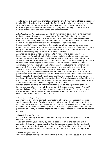The following are examples of matters that may affect your work: illness, personal or family difficulties (including illness in the family) or financial problems. In assessing your performance, the Department has a policy of trying to compensate for difficulties you have encountered whilst studying. We can only do this if we are notified of difficulties and have some idea of their extent.

*5. Student Progress Work and Attendance.* The University regulations governing the Work and Attendance of students are given in the Student Guide. Full attendance is required at all lectures, laboratories, and any tutorials, which may be scheduled. Completed laboratory work should be handed in on time. Attendance at laboratories and at many lectures is monitored and attendance registers kept. Please note that the expectation is that students will be required to undertake approximately thirty six hours per week of study i.e. an average of two hours private

study will be required for every scheduled hour of lectures, laboratories etc. and some students may require much more time than this.

Absence for holidays is not permitted in term-time. The experience of the Department confirms that lack of attendance leads to study problems and any student with problems should consult his/her subject tutors or personal tutor. In addition, failure to attend can result ultimately in refusal by the University to allow a student to sit in the degree examinations. The duty of the lecturer is to keep continuous review of the work and attendance of the students with whom he is concerned. If the rate of student absences, in a course unit, is greater than 15% (or 20% for student representing the University in sportive or cultural activities) of the completely accredited hours and the student has no acceptable justification, then this student is excluded from that course unit. If the Dean of the faculty accepts the justifications of absence, then this student is mentioned as *withdrawn* without refunding the registration fees*.* A formal process is defined to tackle the problem of any student whose work and attendance appear unsatisfactory. Direct approaches by lecturer to solve the problem are as follows:

He may choose to issue an "informal" warning, which has a precisely defined format and permits recovery of the situation. If this is unsatisfactory, a "formal" warning is issued. This is again of a precisely defined format. Failure to recover the situation at this stage leads to an exclusion from the course. A copy of this correspondence is held in a student's file.

### *6. Interruption of Degree Program*

Any interruption (taking at most 4 semesters) of your degree program requires special permission from Faculty prior to the interruption. Regulations state that a B.Sc. degree is a continuous 5-year period of study. Permission will only be granted if satisfactory reasons are given. A written case with supporting evidence must be presented to Faculty. Reasons might include prolonged illness. Consult your tutor for advice.

### *7. Transfer between Faculties*

• If you are contemplating any change of Faculty, consult your primary tutor as soon as possible.

• You can change your Faculty by filling a special form at the beginning of the semester. It is only required that the Tawjihi average imposed in the new faculty or department must be less than or equal to your Tawjihi average. A specialized committee will decide what courses will be retained from your actual Department.

#### *8. Withdrawal from Modules*

If you are contemplating withdrawing from a module, please discuss the situation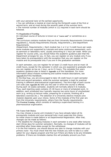with your personal tutor at the earliest opportunity.

• You can withdraw a module at most during the thirteenth week of the first or second term, and at most during the seventh week of the summer term. • The minimal number of modules (which is 12) required in each term should be followed.

#### **VI. Organization of Teaching**

An individual course of lectures is known as a "**course unit**" or sometimes as a "**module**".

The curriculum contains modules that are from University Requirements (University regulations.), Faculty Requirements (Faculty. Requirement.), and Department **Requirements** 

(Department. Requirements.). Each module has 1 or 2 or 3 credit hours per week. some modules are supported by tutorials and some continuous assessment, such as seminars or laboratory work, usually amounting to 1 hour per week. When you register for course units, you should follow the academic guidance plan that the Department arranges for you. In fact, you can register on any module only if you have taken its prerequisite(s) with the exception that you can register on the module and its prerequisite only if you are in the graduation semester.

In each semester, you can register for at least 12 credit hours and at most 18 credit hours, except for the semester in which you are expected to graduate when you can register as low as 1 hour, up to 21 hours. The complete five years academic guidance plan is listed in **Appendix A** of this Handbook. For more information about module numbering and outline module descriptions, see **Appendix B** of this Handbook.

In the **First Year**, you are encouraged to take 18 credit hours in each semester (first and second semesters, while the summer semester is kept for practical training in different pharmaceutical organizations). The third digit of each course unit code (see **Appendix B**) tells you the year in which the course is offered. During each 16 weeks semester, students will normally attend 5-6 modules. Thus, each teaching week contains 15-18 hours or more of scheduled work. In addition, each scheduled hour typically requires two extra hours of unscheduled work (e.g. writing up lecture notes, preparing for a tutorial, finishing off a laboratory exercise etc.). The selection of a University elective module (one module) depends upon your choice. Some of the modules of the first year are from the University requirements, others from the Faculty requirements. The **Practical Training**, which consists of realizing a supervised training in a pharmaceutical organization.

#### **VII. Course Unit Choices**

You may choose a course unit (module) if you have already taken all its prerequisite modules and your personal tutor must supervise this choice. An initial choice is made before or at Departmental Registration. After that, changes can be made as follows:

• The deadline for changing modules in each semester is one week after lectures start (three days for summer semester). Normally, no changes of modules will be permitted after these dates except for the withdrawal.

• In the first instance, you should discuss any plan to change modules with your primary tutor. You must check that the new module you wish to take is a valid option for your degree program and find out if there are likely to be any timetable problems. If there are timetable clashes this will probably prevent you from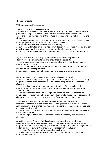changing module.

### **VIII. Assessment and Examinations**

### *1. Criteria for Assessing Examination Work*

*First class (90 – 100 marks).* First class answers demonstrate depth of knowledge or problem solving skills, which is beyond that expected from a careful and conscientious understanding of the lecture material. Answers will show that the student:

1. has a comprehensive knowledge of a topic (often beyond that covered directly in the program) with an absence of misunderstandings;

2. is able to apply critical analysis and evaluation;

3. can solve unfamiliar problems not drawn directly from lecture material and can adjust problem solving procedures as appropriate to the problem;

4. can set out reasoning and explanation in a logical, incisive and literate style.

*Upper Second class (80 – 89 marks).* Upper second class answers provide a clear impression of competence and show that the student:

1. Has a good knowledge base and understanding of all the principal subject matter in the program;

2. Can solve familiar problems with ease and can make progress towards the solution of unfamiliar problems;

3. Can set out reasoning and explanation in a clear and coherent manner.

# *Lower Second class (70 – 79 marks).* Lower second class answers will

address a reasonable part of the question with reasonable competence but may be partially incomplete or incorrect. The answer will provide evidence that the student:

1. Has a satisfactory knowledge and understanding of the principal subject matter of the program but limited to lecture material and with some errors and omissions.

2. Can solve familiar problems through application of standard procedures.

3. Can set out reasoning and explanation which, whilst lacking in directness and clarity of presentation can nevertheless be followed and readily understood.

*Third Class (60 – 69 marks).* Third class answers will demonstrate some relevant knowledge but may fail to answer the question directly and/or contain significant omissions or incorrect material. Nevertheless, the answer will provide evidence that the student:

1. Has some basic knowledge and a limited understanding of the key aspects of the lecture material;

2. Can attempt to solve familiar problems albeit inefficiently and with limited success.

*Pass (50 – 59 marks).* Answers in this category represent the very minimum acceptable standard. Such answers will contain very little appropriate material, major omissions and will be poorly presented lacking in any coherent argument or understanding. However the answer will suggest that the student 1. has some familiarity with the general subject area;

2. Whilst unable to solve problems can at least formulate a problem from information given in a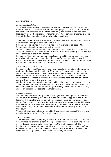sensible manner.

#### *2. Assessment Regulations*

In general, every module is assessed as follows: 50% is given for two 1-hour midterm exams, coursework and/or seminars, projects, or essays, and 50% for the final exam that may be a written exam only or a written exam plus final laboratory exam (if applicable), final small project, or seminar presentation. The 50% of the final exam is from the University regulations.

The minimum pass mark is 50% for any module, whereas the minimum passing accumulated average in each semester is 60%.

Students will be warned if they could not obtain average of at least 60%. In this case, students are encouraged to repeat

studying those modules with low marks in order to increase their accumulated averages. However, students will be dismissed from the University if this average is not achieved in the third attempt.

For the practical training module, each student should submit a technical report of his/her training, and a team of academic staff members makes several observations on the trainers' work in their place of training. Then according to the observations and the report, they assess the students.

### *3. Role of Internal and External Examiners*

For each module, the Department assigns a module coordinator and an internal reviewer who is one of the senior staff members. If many lecturers teach the same module concurrently, they should suggest exam questions (for the first, second and final exams) and run the same exam for all sections. The main coordinator of the module will collect these questions from lecturers and select some of them to be in the exam paper.

On the other hand, external examiners validate the standard of degree program. The external examiners are expected to look at the question papers, inspect a selection of scripts and project reports (particularly those on borderlines). They supply an assessment report to the Department.

#### *4. Appeal Procedures*

If you have good reason to question a mark you have been given (in midterm exams or in coursework), you should in the first instance approach the module lecturer. If the problem is not solved, you must submit it to your primary tutor. He will find the appropriate solution with administrative structures. Problems with final examinations are resolved by submitting complaints or appeals in writing (within three days of the announcement of examination results) to the Dean of the Faculty.

The examination committee will consider these cases and checks if there is any mistake in the summation of the marks and so on.

### *5. Unfair Practices*

The University treats attempting to cheat in examinations severely. The penalty is usually more severe than a zero in the paper concerned. More than one student of this Department were dismissed from the University because of this. Plagiarism, or copying of course or lab work, is also a serious academic offense as explained in the University guidelines. In Faculty of Pharmacy at Philadelphia University these guidelines apply also to laboratory exercises.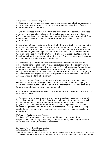### *6. Department Guidelines on Plagiarism*

1. Coursework, laboratory exercises reports and essays submitted for assessment must be your own work, unless in the case of group projects a joint effort is expected and is indicated as such.

2. Unacknowledged direct copying from the work of another person, or the close paraphrasing of somebody else's work, is called plagiarism and is a serious offence, equated with cheating in examinations. This applies to copying both from other students' work and from published sources such as books, reports or journal articles.

3. Use of quotations or data from the work of others is entirely acceptable, and is often very valuable provided that the source of the quotation or data is given. Failure to provide a source or put quotation marks around material that is taken from elsewhere gives the appearance that the comments are ostensibly your own. When quoting word-for-word from the work of another person quotation marks or indenting (setting the quotation in from the margin) must be used and the source of the quoted material must be acknowledged.

4. Paraphrasing, when the original statement is still identifiable and has no acknowledgement, is plagiarism. A close paraphrase of another person's work must have an acknowledgement to the source. It is not acceptable for you to put together unacknowledged passages from the same or from different sources linking these together with a few words or sentences of your own and changing a few words from the original text: this is regarded as over-dependence on other sources, which is a form of plagiarism.

5. Direct quotations from an earlier piece of your own work, if not attributed, suggest that your work is original, when in fact it is not. The direct copying of one's own writings qualifies as plagiarism if the fact that the work has been or is to be presented elsewhere is not acknowledged.

6. Sources of quotations used should be listed in full in a bibliography at the end of your piece of work.

7. Plagiarism is a serious offence and will always result in imposition of a penalty. In deciding upon the penalty the Department will take into account factors such as the year of study, the extend and proportion of the work that has been plagiarized and the apparent intent of the student. The penalties that can be imposed range from a minimum of a zero mark for the work (without allowing resubmission) through caution to disciplinary measures (such as suspension or expulsion).

### **IX. Teaching Quality Assurance Committee**

The Faculty Teaching Quality Assurance and Enhancement Committee is responsible for the quality of teaching in the Department, including the analysis of Course Evaluation Questionnaire responses.

### **X. Students Feedback and Representation**

### *1. Staff Student Consultative Committees*

Student representatives are elected onto the departmental staff student committees at the start of each term. All simultaneous sections of a module have a staff student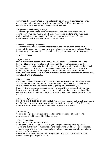committee. Each committee meets at least three times each semester and may discuss any matter of concern with the module. The staff members of each committee are the lecturers of the concerned sections.

### *2. Departmental and Deanship Meetings*

The meetings, held by the head of Department and the Dean of the Faculty during term time, has mainly an advisory role, where students may raise their problems that need some concern from these authorized persons. These meetings are held separately for each year students.

### *3. Module Evaluation Questionnaires*

The Department attaches great importance to the opinion of students on the quality of the teaching provided, and every student is asked to complete a Module Evaluation Questionnaire for each module. The questionnaires are anonymous.

### **XI. Communications**

# *1. Official Notices*

Official notices are posted on the notice boards at the Department and at the Faculty. Electronic mail is also used extensively for communication with the Department and University. Each lecturer provides the students with his/her email at the beginning of the term. Most official information including copies of this handbook, the undergraduate syllabus and timetables are available on the University Web pages. This includes directories of staff and students for internal use, completed with photographs.

# *2. Electronic Mail*

Electronic mail is used widely for administrative purposes within the Department. It is frequently useful for communicating between individuals and small groups (e.g. between a tutor and his/her tutorial group), and occasionally for broadcasting important messages to wider groups. It is important that you know how to use email. It will be covered in the introductory laboratory sessions. The code of practice for computer usage covers electronic mail, please note the points below.

### *3. Obscene or Offensive Mail*

DO NOT SEND OBSCENE OR OFFENSIVE MAIL. If you receive mail, which you regard as offensive or obscene, you may wish to complain to a member of staff so that appropriate disciplinary action can be taken against the offender.

# *4. Group Mailing*

You are strongly discouraged from sending email to groups of people. The newsgroups should be used for this purpose.

### *5. Miscellaneous Hints*

- Be brief in your communications.
- Compose your message as if ALL of your recipients were physically present.
- Limit the distribution of messages to the people who are likely to be interested.
- Keep a copy of the mail you send out, for future reference. Learn to use folders to keep useful messages.

• Read all your incoming mail before replying to any of it. There may be other relevant messages for you to read.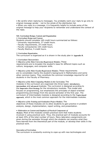• Be careful when replying to messages. You probably want your reply to go only to original message sender - not to the whole of the distribution list.

• When you reply to a message, it is frequently helpful to include some of the original message to help your recipients to remember and understand the context of the reply.

# **XII. Curriculum Design, Content and Organization**

*1. Curriculum Design and Content.* 

Students should complete 160 credit hours summarized as follows:

- University requirements, 27 credit hours.
- Faculty requirements, 24 credit hours.
- Faculty compulsories 104 credit hours.
- Faculty Elective, 5 credit hours.

#### *2. Curriculum Organization.*

The curriculum is organized as it is shown in the study plan in **Appendix B**.

- *3. Curriculum Characteristics*
- *Objectives of the Main University-Requirement Modules.* These

requirements are to broaden the student's base for different topics such as culture, languages, and computer skills.

• *Objectives of the Main Faculty-Requirement Modules.* These requirements

are to consolidate mainly the student's background in Mathematics and some other common topics. They constitute the common knowledge required for all students in the Faculty of Pharmacy.

### • *Objectives of the Main Computing Modules in the Curriculum.* The

modules in the curriculum are organized into three types: **introductory, intermediate** and **advanced** modules. The curriculum is designed according to the **Imperative First Strategy** for the introductory modules. This model also focuses on programming, but emphasizes the principles of object-oriented programming and Design from the second semester of the first year. The curriculum of Intermediate modules is designed according to the **Topics-based approach**, which is the most common approach for the intermediate modules.

### • *Objectives of the Training and Graduation Project Modules.* The

objectives of these modules are to allow students to gain practice in problem analysis, design, implementation, report writing, and presentation.

### • *Elaboration on Content and Emphasis of Practical Components of*

*Modules.* Most of the modules contain practical work that make students involved in using practical work. Thus, the practical part of modules accounts for at least 25% of the total number of hours. Many laboratory assignments are given during the semester through which the students can practice what they have learned from the theoretical part of the module, or develop their skills in the practical work.

### *Innovation of Curriculum.*

The curriculum is constantly evolving to cope-up with new technologies and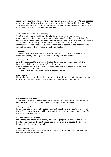rapidly developing modules. The first curriculum was designed in 1991 and updated many times, and the latest was approved by the Deans' Council in the year 2008. This development is through regular internal monitoring and reviews, and to recent local developments in teaching and learning.

# **XIII. Health and Safety in the University**

The University has a Health and Safety Committee, which comprises representatives of all services within the University. It is the responsibility of this committee to investigate complaints and potential hazards, to examine the cause of all accidents and to carry out periodic inspections of all areas of the Department. At registration, you will be required to assent to the departmental code of behavior, which relates to health and safety.

### *1. Building*

The Faculty comprises three floors; 400, 500, and 600. In accordance with University policy, smoking is prohibited throughout all buildings.

# *2. Emergency Evacuation*

It is the responsibility of every individual to familiarize themselves with the Faculty's building and be aware of the fire exits.

• After evacuation of any building, please assemble well away from the building, and do not block any exits.

• Do not return to any building until authorized to do so.

# *3. Fire Action*

Fire Action notices are located at, or adjacent to, fire alarm actuation points, and all staff and students should make them acquainted with this routine.

# *4. Operating the Fire Alarm*

The manual fire alarm system can be activated by breaking the glass in the red contact boxes sited at strategic points throughout the premises.

### *5. Use of Fire Appliances*

Fire appliances are sited at strategic points throughout the Faculty to deal with fires. Fires should only be tackled provided there is no personal danger and after the alarm has been set off.

### *6. Action when the Alarm Rings*

On hearing the intermittent alarm, you should prepare yourself to leave the building. On hearing the continuous alarm, you should evacuate the building immediately by the nearest exit.

### *7. Personal Difficulties*

Please inform the Faculty's counselors or your tutor of any difficulties with which the Faculty can be of assistance.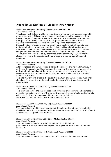# **Appendix A: Outlines of Modules Descriptions**

# **Module Name:** Organic Chemistry I **Module Number: 0511121 Aims (Module Purpose)***:*

The student at this level well know the principle of inorganic compounds studied in general chemistry. This course will subject the students to the molecular orbital theory of organic compounds, saturated aliphatic cyclic and cyclic hydrocarbons. Principles of the IUPAC nomenclature of organic compounds. Unsaturated aliphatic hydrocarbons. Aliphatic halogen compounds. Isomerism and Stereochemistry of organic compounds. aliphatic alcohols and ethers. aliphatic amines and other nitrogen compounds. aliphatic acids and their derivatives. aromaticity, main groups of carbocyclic aromatic compounds. polycyclic aromatic compounds. Electron rich and electron deficient heteroaromatic compounds. The student will be able to study pharmaceutical biochemistry (I), because the student well know the organic functional groups and there preparations and reactions.

#### **Module Name:** Organic Chemistry II **Module Number: 0511212 Aims (Module Purpose)***:*

After completion of pharmaceutical organic chemistry (I) and its fundamentals, in particular the organic functional groups, this course will provide a comprehensive and sound understanding of the aromatic compounds and their preparations, reactions and IUPAC nomenclature, in this course the student will study the DNA and RNA structures.

This information's will prepare the student in to study of pharmaceutical medicinal chemistry (I) where the student will begin the study of the drugs structure and preparations

# **Module Name:** Analytical Chemistry (I) **Module Number: 0511213 Aims (Module Purpose)***:*

This course is devoted to the exploration of principles of qualitative and quantitative analysis, methods expressing of the concentrations, principles of volumetric analysis, acid-base Equilibria in aqueous and in non aqueous solutions, acid-base titration and their applications in both solutions

# **Module Name:** Analytical Chemistry (II) **Module Number: 0511223 Aims (Module Purpose)***:*

This course is devoted to the exploration of the volumetric methods; precipitation Equilibria, Reduction – oxidation Equilibria, Complex metric Equilibria – titration's and applications, also gravimetric methods.

### **Module Name:** Pharmaceutical Legislations **Module Number: 0511120 Aims (Module Purpose)***:*

This course is designed to provide the students with the general pharmaceutical Jurisprudence and legislations applied at the Hashemite Kingdom of Jordan.

#### **Module Name:** Pharmaceutical Marketing **Module Number: 0511522 Aims (Module Purpose)***:*

This course is designed to implement the major concepts in management and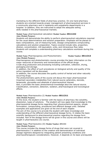marketing to the different fields of pharmacy practice. On one hand pharmacy students are oriented towards proper management of pharmaceutical services in a community pharmacy and in inpatients and outpatients departments in a hospital. In addition, they are instructed to adopt the adequate selling skills needed in the pharmaceutical markets.

**Module Name:** pharmaceutical calculation **Module Number: 0511222 Aims (Module Purpose)***:* 

Students will demonstrate the ability to perform pharmaceutical calculations required for the usual determinations and solution preparation. Emphasis will be placed on basic computations, use of measuring tools, dosage computations compounding calculations and solution preparation. Topics covered include ratio, proportion, dilution, concentration, mill equivalent, units, and intravenous flow rates. Students will complete a understanding pharmacy calculations workbook during this course.

**Module Name:** Pharmacognosy and Phytochemistry **Module Number: 0511313 Aims (Module Purpose)***:* 

Pharmacognosy and photochemistry course provides the basic information on the major resources of taxonomy and nomenclature of the official drugs.

Crude drug production and processing including cultivation, collection, drying, packaging and storage.

In addition, the effect of such procedures on biological activity and quality of the active ingredient will be discussed.

In addition, the course discusses the quality control of herbal and other naturally occurring drugs.

The photochemistry parts of the course will discus the major pharmaceutical Important secondary metabolites from natural source cphenolics, steroids, terpenoids, glycosides and alkaloids of pharmaceutical interest.

Also, it provides the basic photochemical knowledge abut the natural source. Classification, extraction, detection, isolation, pharmacological and toxicological effects.

### **Module Name:** Pharmaceutics (I) **Module Number: 0511311 Aims (Module Purpose)***:*

At this level, the student is familiar with the basics of pharmacy like solubility, dissolution, types of solutions. The student will now apply that knowledge to the pharmaceutical dosage forms regarding their physicochemical aspects, simple formulation, compounding, procedures and different dosage units. Detailed examples and applications are given at the end of each chapter. The aim of this course is to provide the student with basic knowledge and understanding of the different pharmaceutical dosage forms. It relates the basic scientific background to pharmaceutical practice regarding the dosage form included. Part of the dosage forms will be given in this course and others will be

taught in pharmaceutics (II) course.

### **Module Name:** Pharmaceutics (II) **Module Number: 0511321 Aims (Module Purpose)***:*

This course includes the dosage forms of drugs that were not covered in pharmaceutics I in addition to the creation and demonstration of individual dosage regimens designed by integrating patient presenting conditions and pharmacotherapeutic considerations. However, it depends on its basic prerequisite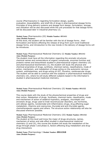course (Pharmaceutics I) regarding formulation design, quality evaluation, bioavailability, and shelf-life of drugs in pharmaceutical dosage forms. Principles of drug delivery systems and dosage form design, formulation, storage, and utilization will be also discussed while the unit processes for that dosage forms will be discussed later in industrial pharmacy (I).

#### **Module Name:** Pharmaceutics (III) **Module Number: 0511411 Aims (Module Purpose)***:*

At this level, the student will be familiar with the lot of dosage forms , their formulation and factors affecting the release of drug from such novel traditional dosage forms, and introduction to the new trends in the delivery of dosage forms will be introduces.

**Module Name:** Pharmaceutical Medicinal Chemistry (I) **Module Number: 0511312 Aims (Module Purpose)***:* 

The student must have all the information regarding the aromatic structures chemical names and nomenclature of organic compounds, enzymes function and proteins names and biosynthesis studied in pharmaceutical organic chemistry (II) and pharmaceutical biochemistry (I), the student will study the physical and chemical proprieties of drugs, synthesis, chemical names, classifications, mode of action, mechanism, and metabolism of drugs acting on the autonomic nervous system, antihistamines, and drugs acting on GIT, Diuretics, cardiovascular drugs. The student will be able to continue with the subjects in pharmaceutical medicinal chemistry (II), where he will study different subjects based in the information's studied in pharmaceutical medicinal chemistry.

**Module Name:** Pharmaceutical Medicinal Chemistry (II) **Module Number: 0511322 Aims (Module Purpose)***:* 

This course deals with the study of the physiochemical properties of drugs and their action. Metabolism of drugs. Synthesis, chemical name, classification, mode and mechanism of action of sedative-hypnotics, analgesic, neuroleptic and anxiolytic drugs, drugs used to treat neuromuscular disorders, sex hormones, anti-allergic agents, nonsteriodal anti-inflammatory drugs, drug affecting sugar metabolism, Vitamins and coenzymes, thyroidal and anti-thyroidal agents, chemotherapeutic agents and others. The structure action relationship will also be discussed wherever possible.

# **Module Name:** Pharmaceutical Medicinal Chemistry (III) **Module Number: 0511322 Aims (Module Purpose)***:*

The student at this level well know the major of drugs structures, names, mechanism of action and side effect studied in pharmaceutical medicinal chemistry (I) and (II), this course the student will study the metabolism of the drugs through phase I and phase II, factors affecting drug metabolism and drugdrug interactions

**Module Name:** Pharmacology I **Module Number: 0511310 Aims (Module Purpose)***:*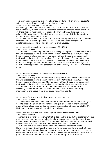This course is an essential topic for pharmacy students, which provide students with basic principles of the science of pharmacology.

It familiazes student with pharmacology

terminology. This module has a reflective, interactive and analytical contextual focus. However, it deals with drug receptor interaction concept, mode of action of drugs, factors modifying responses and adverse effects, dose response relationship, drug toxicity. In addition to drug absorption, distribution, protein binding, metabolism and excretion.

It also includes detailed information about drugs acting on the autonomic nervous systems and drugs acting on the CNS as well as the histamineregic and serotenergic drugs. The module also covers drug abused.

# **Module Name:** Pharmacology II **Module Number: 0511320 Aims (Module Purpose)***:*

This module is a major requirement that is designed to provide the students with the unit processes taking place in pharmacology. At this level, the student has been exposed to pharmacology 1, moreover; different basic pharmacological topics will be illustrated in this module. This module has a reflective, interactive and analytical contextual focus. However, it deals with study of the mechanism of action of drugs that acts on the endocrine systems, gastrointestinal system, and chemotherapeutic agents together with antibacterial, antiviral & antimycotic agents.

# **Module Name:** Pharmacology (III) **Module Number: 0511410 Aims (Module Purpose)***:*

The module is a major requirement that is designed to provide the students with the unit processes taking place in pharmacology. At this level, the student has been exposed to pharmacology (II), moreover; different basic pharmacological topics will be illustrated in this module regarding the above mentioned drugs. This module has a reflective, interactive and analytical contextual focus. However, it deals with mode of action, adverse effects, toxicity and drug interaction of the above mentioned drugs with other agents.

# **Module Name:** Instrumental Analysis **Module Number: 0511511 Aims (Module Purpose)***:*

This course is devoted to the exploration of the instrumental methods of analysis used to check the purity of row material and quality control of pharmaceutical preparations; chromatographic methods, spectroscopic methods; UV-Visible, IR, NMR, Mass, Atomic absorption, and Flame emission.

# **Module Name:** Pharmaceutical technology (I) **Module Number: 0511413 Aims (Module Purpose)***:*

The module is a major requirement that is designed to provide the students with the unit processes taking place in industrial pharmacy. At this level, the student has been exposed to Pharmaceutics (II), moreover; different basic industrial topics will be illustrated in this module plus to different formulation techniques. This module has a reflective, interactive and analytical contextual focus.

However, it deals with different problems in formulation and how to deal with such problems. Granulation and compression are two very important processes that are carried out extensively by most pharmaceutical companies. However, the theory of granulation is little understood and the selection of a particular machine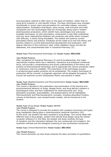and granulation method is often done on the basis of tradition, rather than by using strict scientific or cost-benefit criteria. The basic techniques have changed dramatically in recent years and granulation for controlled release, extrusion, spheronisation, fluidisation techniques, spray drying, melt extrusion and roller compaction are new technologies that are increasingly being used in modern pharmaceutical production, which exhibit many advantages over previously available techniques. As with granulation, compression is also little understood and why some materials/formulations will compress well whilst others compact with difficulty, is slowly being elucidated. The module will examine current granulation theory and practice. Emphasis will be made as to how this theory and practice relates to current pharmaceutical development and production, with special reference to the machinery used. Initial validation issues will also be addressed, and comprehended later in Industrial Pharmacy (II).

### **Module Name:** Pharmaceutical technology (II) **Module Number: 0511423**

#### **Aims (Module Purpose)***:*

After completion of Industrial Pharmacy (I) and its fundamentals, this major requirement module which has a reflective, interactive and analytical contextual focus, will provide a comprehensive and sound understanding of the theory and practice of pharmaceutical technology and to appreciate the various processes; batch or continuous, that are available. The importance of the technology process in producing good quality products will be emphasized. The modern techniques of production will be covered. A pragmatic approach will be adopted throughout. The Course will examine current compression theory and practice in detail.

### **Module Name:** Biopharmaceutics and Pharmacokinetics **Module Number: 0511420 Aims (Module Purpose)***:*

This course is devoted to the exploration and examination of the physical and physicochemical behavior of drugs, dosage forms, and drug delivery systems in physiological milieu and their implications for pharmaceutical care. Drug absorption processes, bioavailability, and bioequivalence will be highlighted. Pharmacokinetic and Pharmacodynamic concepts, including absorption kinetics, volume of distribution, and compartmental models, will be introduced to the student.

#### **Module Name:** Drug Design **Module Number: 0511531 Aims (Module Purpose)***:*

The course is designed to provide the students with receptors structures and types, drug metabolism taking place in pharmaceutical medicinal chemistry (III). At this level, the student has been exposed to drug design. This course deals with different type of drug design, random and rational drug design using the newest computer software's in this field, the student will study carefully the type of receptors and the interaction between the new compounds and receptors, the synthesis methods and the biological screening of new synthesized compounds

### **Module Name:** Clinical Biochemistry **Module Number: 0511421**

#### **Aims (Module Purpose)***:*

This course discusses via case-study analyses the basic principles of quantitative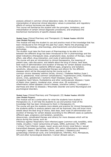analysis utilized in common clinical laboratory tests. An introduction to interpretation of abnormal clinical laboratory values is presented, and regulatory effects of various hormones are described.

This course will familiarize the student with the principles, limitations, and interpretation of certain clinical diagnostic procedures; and emphasize the biochemical mechanisms of specific disease states.

# **Module Name:** Clinical Pharmacy and Therapeutic (I) **Module Number: 0511510 Aims (Module Purpose)***:*

This module will help the student to use and practice most of the knowledge that has been introduced to him through the past four years. Mainly the physiology and anatomy, microbiology, pharmacology, pharmacokinetic and pharmaceutical technology.

The student must take the final exam of Pharmacology to be able to link between the different drugs has been introduced to him in pharmacology and the detail indications (therapeutic dose, prophylactic dose, duration of therapy, major effect, side effect, drug interaction, and route of administration).

The course will give an introduction to clinical therapeutics, the meaning of patient case, case discussion, and details about the drug of choice, best dose, best route of administration and duration of therapy for certain disease according to the different cases as (patients different ages, pregnancy and lactation, sensitivity, idiosyncrasy, complicated therapy and others) for the different diseases which will be discussed during the course such as:

common chronic diseases/ asthma (Acute, chronic) / Diabetes Mellitus (type I, type II, gestational, most common complications) / hypertension (mild, moderate, severe, crisis, gestational) / Ischemic Heart Diseases (angina, MI) / Congestive heart failure, Dyslipidemia and other cardiovascular diseases / types of Peptic Ulcer (gastric, duodenal ulcer, stress ulcer, ZE syndrome) / inflammatory bowel diseases (chron's disease, ulcerative colitis) / constipation / diarrhoea and other GI diseases / Rheumatic disorder and some Neurological and psychological disorders.

**Module Name:** Clinical Pharmacy and Therapeutic (II) **Module Number: 0511520 Aims (Module Purpose)***:* 

This module will be a continuation for what the students have studied in therapeutics (I), it will help the students to use and practice most of the knowledge that has been introduced to them in therapeutics (I).

The course will give the students more details and practice for clinical therapeutics, the students ability to analyze patient case will be improved, they will know more details about the best drug of choice, best dose, best route of administration and duration of therapy for certain disease according to the different cases as (patients different ages, pregnancy and lactation, sensitivity,

idiosyncrasy, complicated therapy and others) for more diseases which will be discus during the course, such as:

Infectious agents/ Respiratory tract infection/upper (common cold, tonsillitis, otitis media, sinusitis) / lower (pneumonia all types, SARS, pulmonary TB, COPD) / Urinary Tract Infection (upper, lower) acute and chronic renal failure / sexual transmitted diseases (gonorrhea, syphilis, HIV, pelvic inflammatory diseases) / meningitis / sepsis / Skin disorders (Acne, psoriasis) / Obstetrics and gynaecology (menstrual cycle, oral contraceptives, infertility, PCO, Menopause, OP) and other Gynecological disorders / Cancer (Breast cancer).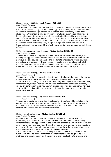#### **Module Name:** Toxicology **Module Number: 0511521 Aims (Module Purpose)***:*

This module is a major requirement that is designed to provide the students with the unit processes taking place in Toxicology. At this level, the student has been exposed to pharmacology, moreover; different basic toxicology topics will be illustrated in this module plus to different formulation techniques. This module has a reflective, interactive and analytical contextual focus. However, it deals with different problems in poisoning and how to deal with such problems. This module is also concerned with the chemical and physical properties of poisons, the Pharmacokinetics of toxic agents, the physiologic and behavioral effects of these poisons in humans, and the effective prevention and management of those effects.

### **Module Name:** Anatomy and Histology **Module Number: 0511142 Aims (Module Purpose)***:*

The course is designed to provide the students with extended knowledge bout histological appearance of various types of tissues and information build on the previous biology course and enable the student to understand future courses as physiology and pathology. These include, the cells and organelles, epithelial tissues, muscular tissues, and nervous tissues, the skeleton, head and neck, upper limb, lower limb, chest, abdomen, spine and endocrine system.

#### **Module Name:** Physiology I **Module Number:0511210 Aims (Module Purpose)***:*

The course is designed to provide the students with knowledge about the normal functions and mechanism of various physiological systems basis on the anatomical and histological correlation, including: cell physiology and body fluids, membrane physiology, nerves and muscles, contractions of skeletal muscles, excitation contraction coupling, neuromuscular transmission, autonomic nervous system, blood cells and blood clotting, acid –base balance, acid base imbalance, respiratory system.

#### **Module Name:** Physiology (II) **Module Number: 0511220 Aims (Module Purpose)***:*

The course is designed to provide the students with extended knowledge to have continuous information about various normal functional units of human systems including: special senses, central nervous system, digestive system, renal system, endocrines and cardiovascular system.

#### **Module Name:** Biochemistry I **Module Number: 0511211 Aims (Module Purpose)***:*

Biochemistry I, an introduction to the structure and function of biological molecules, is designed to study the molecules and macromolecules in living systems through an application of the principles of organic and physical chemistry as well as biology and genetics. This will include an examination of the structure of these molecules in detail in order to understand how their unique chemical and physical properties contribute to their biological function.

After an introduction to the basic concepts of biochemistry, the structure and function of proteins will be discussed. Special attention will be given to the methods and techniques of biochemistry and their application to proteins and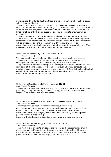nucleic acids. In order to illustrate these principles, a number of specific proteins will be discussed in detail.

The structures, specificities and mechanisms of action of selected enzymes will illustrate the enormous diversity of this group of catalytic molecules. The mechanism of action of a few enzymes will be studied in detail and general theories for the kinetic analysis of both single substrate and multi-substrate enzymes will be developed.

The structure and function of the nucleic acids will be discussed in some detail and the association of nucleic acids with proteins will introduce these important macromolecular interactions. Higher levels of organization of the genetic material will be introduced and the mechanism of DNA replication, repair, and recombination will be studied. A very brief introduction to transcription and RNA processing, translation and gene regulation will be presented.

### **Module Name:** Biochemistry II **Module Number: 0511221 Aims (Module Purpose)***:*

This course will emphasize human biochemistry in both health and disease. The concepts are chosen to prepare the pharmacy student for learning in subsequent courses, and for understanding the medical literature. The generation of metabolic energy in higher organisms, with an emphasis on its regulation at the molecular, cellular and organ level. Chemical concepts and mechanisms of enzymatic catalysis are also emphasized. Included: selected topics in carbohydrate, lipid and nitrogen metabolisms; complex lipids and biological membranes; hormonal signal transduction.

# **Module Name:** Microbiology (I) **Module Number: 0511314 Aims (Module Purpose)***:*

The course introduced students to the microbial world. It deals with morphology, physiology, and pathogencity of bacteria, fungi, viruses and protozoa. Body responses to Infection are also dealt with.

**Module Name:** Pharmaceutical Microbiology (II) **Module Number: 0511323 Aims (Module Purpose)***:* 

The course revolves around the axis of pharmaceutical products.

Also the source covers pharmaceutical products, contamination, preserving, quality control, and production of therapeutically useful substances by recombinant DNA technologies, which have been studied by students previously pharmaceutical microbiology (I).

it deals with disinfectant, antiseptics, preservative and their evaluation.

# **Module Name:** Pathophysiology **Module Number: 0511324 Aims (Module Purpose)***:*

The aim of this course is to introduce the student to the basic mechanisms of diseases, organs affected by the diseases and their relation ship with normal physiological and pathological findings which have been studied by students previously (physiology and pathology), and their disorders.